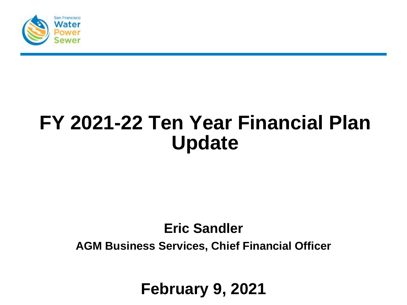

# **FY 2021-22 Ten Year Financial Plan Update**

#### **Eric Sandler**

**AGM Business Services, Chief Financial Officer**

**February 9, 2021**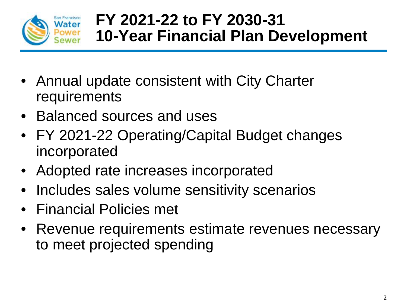

## **FY 2021-22 to FY 2030-31 10-Year Financial Plan Development**

- Annual update consistent with City Charter requirements
- Balanced sources and uses
- FY 2021-22 Operating/Capital Budget changes incorporated
- Adopted rate increases incorporated
- Includes sales volume sensitivity scenarios
- Financial Policies met
- Revenue requirements estimate revenues necessary to meet projected spending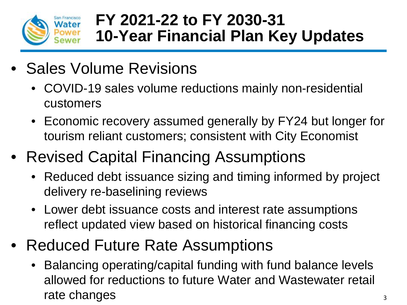

## **FY 2021-22 to FY 2030-31 10-Year Financial Plan Key Updates**

- Sales Volume Revisions
	- COVID-19 sales volume reductions mainly non-residential customers
	- Economic recovery assumed generally by FY24 but longer for tourism reliant customers; consistent with City Economist
- Revised Capital Financing Assumptions
	- Reduced debt issuance sizing and timing informed by project delivery re-baselining reviews
	- Lower debt issuance costs and interest rate assumptions reflect updated view based on historical financing costs
- Reduced Future Rate Assumptions
	- Balancing operating/capital funding with fund balance levels allowed for reductions to future Water and Wastewater retail rate changes  $\frac{3}{3}$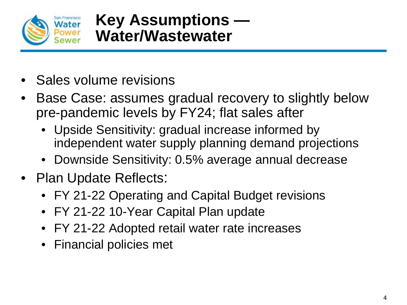

- Sales volume revisions
- Base Case: assumes gradual recovery to slightly below pre-pandemic levels by FY24; flat sales after
	- Upside Sensitivity: gradual increase informed by independent water supply planning demand projections
	- Downside Sensitivity: 0.5% average annual decrease
- Plan Update Reflects:
	- FY 21-22 Operating and Capital Budget revisions
	- FY 21-22 10-Year Capital Plan update
	- FY 21-22 Adopted retail water rate increases
	- Financial policies met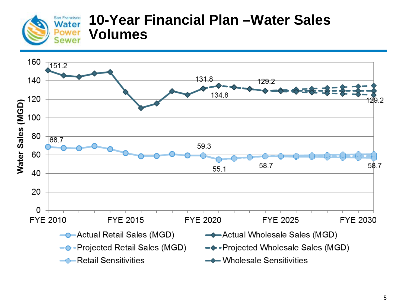

#### **10-Year Financial Plan –Water Sales Volumes**

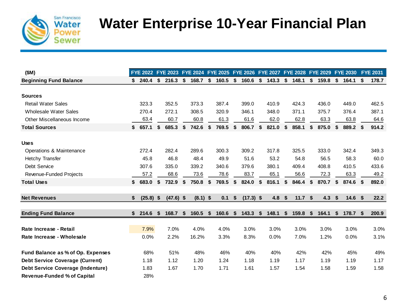

## **Water Enterprise 10-Year Financial Plan**

| (SM)                                     | FYE 2022 FYE 2023 |     |             | FYE 2024 FYE 2025 FYE 2026 FYE 2027 FYE 2028 |             |                   |             |              | <b>FYE 2029</b> |     | <b>FYE 2030</b>   |    | <b>FYE 2031</b> |
|------------------------------------------|-------------------|-----|-------------|----------------------------------------------|-------------|-------------------|-------------|--------------|-----------------|-----|-------------------|----|-----------------|
| <b>Beginning Fund Balance</b>            | \$<br>240.4       | \$  | 216.3       | \$<br>168.7                                  | \$<br>160.5 | \$<br>160.6       | \$<br>143.3 | \$<br>148.1  | \$<br>159.8     | \$  | 164.1             | S. | 178.7           |
|                                          |                   |     |             |                                              |             |                   |             |              |                 |     |                   |    |                 |
| <b>Sources</b>                           |                   |     |             |                                              |             |                   |             |              |                 |     |                   |    |                 |
| <b>Retail Water Sales</b>                | 323.3             |     | 352.5       | 373.3                                        | 387.4       | 399.0             | 410.9       | 424.3        | 436.0           |     | 449.0             |    | 462.5           |
| <b>Wholesale Water Sales</b>             | 270.4             |     | 272.1       | 308.5                                        | 320.9       | 346.1             | 348.0       | 371.1        | 375.7           |     | 376.4             |    | 387.1           |
| Other Miscellaneous Income               | 63.4              |     | 60.7        | 60.8                                         | 61.3        | 61.6              | 62.0        | 62.8         | 63.3            |     | 63.8              |    | 64.6            |
| <b>Total Sources</b>                     | \$<br>657.1       |     | 685.3       | \$<br>742.6                                  | \$<br>769.5 | \$<br>806.7       | \$<br>821.0 | \$<br>858.1  | \$<br>875.0     | \$  | 889.2             |    | 914.2           |
|                                          |                   |     |             |                                              |             |                   |             |              |                 |     |                   |    |                 |
| <b>Uses</b>                              |                   |     |             |                                              |             |                   |             |              |                 |     |                   |    |                 |
| Operations & Maintenance                 | 272.4             |     | 282.4       | 289.6                                        | 300.3       | 309.2             | 317.8       | 325.5        | 333.0           |     | 342.4             |    | 349.3           |
| <b>Hetchy Transfer</b>                   | 45.8              |     | 46.8        | 48.4                                         | 49.9        | 51.6              | 53.2        | 54.8         | 56.5            |     | 58.3              |    | 60.0            |
| Debt Service                             | 307.6             |     | 335.0       | 339.2                                        | 340.6       | 379.6             | 380.1       | 409.4        | 408.8           |     | 410.5             |    | 433.6           |
| Revenue-Funded Projects                  | 57.2              |     | 68.6        | 73.6                                         | 78.6        | 83.7              | 65.1        | 56.6         | 72.3            |     | 63.3              |    | 49.2            |
| <b>Total Uses</b>                        | \$<br>683.0       | \$  | 732.9       | \$<br>750.8                                  | \$<br>769.5 | \$<br>824.0       | \$<br>816.1 | \$<br>846.4  | \$<br>870.7     | \$  | 874.6 \$          |    | 892.0           |
|                                          |                   |     |             |                                              |             |                   |             |              |                 |     |                   |    |                 |
| <b>Net Revenues</b>                      | \$<br>(25.8)      | -\$ | $(47.6)$ \$ | $(8.1)$ \$                                   | 0.1         | \$<br>$(17.3)$ \$ | 4.8         | \$<br>11.7 S | 4.3             | -\$ | 14.6 <sup>5</sup> |    | 22.2            |
|                                          |                   |     |             |                                              |             |                   |             |              |                 |     |                   |    |                 |
| <b>Ending Fund Balance</b>               | \$<br>214.6       | \$  | 168.7       | \$<br>160.5                                  | \$<br>160.6 | \$<br>143.3       | \$<br>148.1 | \$<br>159.8  | \$<br>164.1     | \$  | 178.7             | -S | 200.9           |
| Rate Increase - Retail                   | 7.9%              |     | 7.0%        | 4.0%                                         | 4.0%        | 3.0%              | 3.0%        | 3.0%         | 3.0%            |     | 3.0%              |    | 3.0%            |
| Rate Increase - Wholesale                | 0.0%              |     | 2.2%        | 16.2%                                        | 3.3%        | 8.3%              | 0.0%        | 7.0%         | 1.2%            |     | 0.0%              |    | 3.1%            |
| Fund Balance as % of Op. Expenses        | 68%               |     | 51%         | 48%                                          | 46%         | 40%               | 40%         | 42%          | 42%             |     | 45%               |    | 49%             |
|                                          |                   |     | 1.12        |                                              | 1.24        | 1.18              |             | 1.17         | 1.19            |     | 1.19              |    | 1.17            |
| <b>Debt Service Coverage (Current)</b>   | 1.18              |     |             | 1.20                                         |             |                   | 1.19        |              |                 |     |                   |    |                 |
| <b>Debt Service Coverage (Indenture)</b> | 1.83              |     | 1.67        | 1.70                                         | 1.71        | 1.61              | 1.57        | 1.54         | 1.58            |     | 1.59              |    | 1.58            |
| <b>Revenue-Funded % of Capital</b>       | 28%               |     |             |                                              |             |                   |             |              |                 |     |                   |    |                 |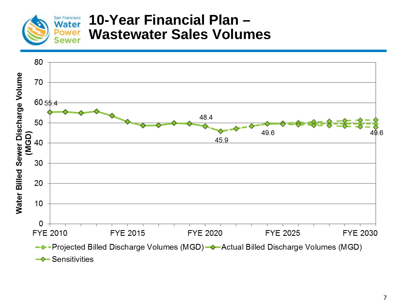

#### **10-Year Financial Plan – Wastewater Sales Volumes**

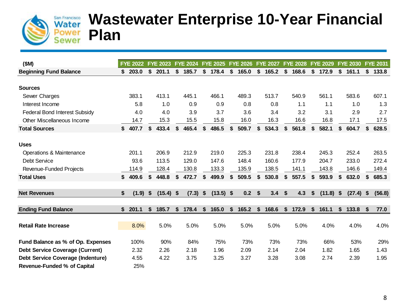

#### **Wastewater Enterprise 10-Year Financial Plan**

| (SM)                                   |    | <b>FYE 2022</b> |     | <b>FYE 2023</b> |    | <b>FYE 2024</b> |                           | <b>FYE 2025</b> |                             | <b>FYE 2026</b> | <b>FYE 2027</b> |    | <b>FYE 2028</b> | <b>FYE 2029</b> |    | <b>FYE 2030</b> |    | <b>FYE 2031</b> |
|----------------------------------------|----|-----------------|-----|-----------------|----|-----------------|---------------------------|-----------------|-----------------------------|-----------------|-----------------|----|-----------------|-----------------|----|-----------------|----|-----------------|
| <b>Beginning Fund Balance</b>          | S  | 203.0           | \$  | 201.1           | \$ | 185.7           | \$                        | 178.4           | \$                          | 165.0           | \$<br>165.2     | \$ | 168.6           | \$<br>172.9     | \$ | 161.1           | \$ | 133.8           |
|                                        |    |                 |     |                 |    |                 |                           |                 |                             |                 |                 |    |                 |                 |    |                 |    |                 |
| <b>Sources</b>                         |    |                 |     |                 |    |                 |                           |                 |                             |                 |                 |    |                 |                 |    |                 |    |                 |
| Sewer Charges                          |    | 383.1           |     | 413.1           |    | 445.1           |                           | 466.1           |                             | 489.3           | 513.7           |    | 540.9           | 561.1           |    | 583.6           |    | 607.1           |
| Interest Income                        |    | 5.8             |     | 1.0             |    | 0.9             |                           | 0.9             |                             | 0.8             | 0.8             |    | 1.1             | 1.1             |    | 1.0             |    | 1.3             |
| Federal Bond Interest Subsidy          |    | 4.0             |     | 4.0             |    | 3.9             |                           | 3.7             |                             | 3.6             | 3.4             |    | 3.2             | 3.1             |    | 2.9             |    | 2.7             |
| Other Miscellaneous Income             |    | 14.7            |     | 15.3            |    | 15.5            |                           | 15.8            |                             | 16.0            | 16.3            |    | 16.6            | 16.8            |    | 17.1            |    | 17.5            |
| <b>Total Sources</b>                   | \$ | 407.7           | \$  | 433.4           | \$ | 465.4           | \$                        | 486.5           | \$                          | 509.7           | \$<br>534.3     | \$ | 561.8           | \$<br>582.1     | \$ | 604.7           | \$ | 628.5           |
|                                        |    |                 |     |                 |    |                 |                           |                 |                             |                 |                 |    |                 |                 |    |                 |    |                 |
| <b>Uses</b>                            |    |                 |     |                 |    |                 |                           |                 |                             |                 |                 |    |                 |                 |    |                 |    |                 |
| Operations & Maintenance               |    | 201.1           |     | 206.9           |    | 212.9           |                           | 219.0           |                             | 225.3           | 231.8           |    | 238.4           | 245.3           |    | 252.4           |    | 263.5           |
| Debt Service                           |    | 93.6            |     | 113.5           |    | 129.0           |                           | 147.6           |                             | 148.4           | 160.6           |    | 177.9           | 204.7           |    | 233.0           |    | 272.4           |
| Revenue-Funded Projects                |    | 114.9           |     | 128.4           |    | 130.8           |                           | 133.3           |                             | 135.9           | 138.5           |    | 141.1           | 143.8           |    | 146.6           |    | 149.4           |
| <b>Total Uses</b>                      | \$ | 409.6           | \$  | 448.8           | \$ | 472.7           | \$                        | 499.9           | \$                          | 509.5           | \$<br>530.8     | \$ | 557.5           | \$<br>593.9     | \$ | 632.0           | \$ | 685.3           |
|                                        |    |                 |     |                 |    |                 |                           |                 |                             |                 |                 |    |                 |                 |    |                 |    |                 |
| <b>Net Revenues</b>                    | \$ | (1.9)           | -\$ | $(15.4)$ \$     |    | (7.3)           | $\boldsymbol{\mathsf{s}}$ | (13.5)          | $\boldsymbol{\hat{\theta}}$ | 0.2             | \$<br>3.4       | \$ | 4.3             | \$<br>(11.8)    | Ŝ. | (27.4)          | S  | (56.8)          |
|                                        |    |                 |     |                 |    |                 |                           |                 |                             |                 |                 |    |                 |                 |    |                 |    |                 |
| <b>Ending Fund Balance</b>             | \$ | 201.1           | \$  | 185.7           | S  | 178.4           | \$                        | 165.0           | \$                          | 165.2           | \$<br>168.6     | S  | 172.9           | \$<br>161.1     | S. | 133.8           | S  | 77.0            |
|                                        |    |                 |     |                 |    |                 |                           |                 |                             |                 |                 |    |                 |                 |    |                 |    |                 |
| <b>Retail Rate Increase</b>            |    | 8.0%            |     | 5.0%            |    | 5.0%            |                           | 5.0%            |                             | 5.0%            | 5.0%            |    | 5.0%            | 4.0%            |    | 4.0%            |    | 4.0%            |
|                                        |    |                 |     |                 |    |                 |                           |                 |                             |                 |                 |    |                 |                 |    |                 |    |                 |
| Fund Balance as % of Op. Expenses      |    | 100%            |     | 90%             |    | 84%             |                           | 75%             |                             | 73%             | 73%             |    | 73%             | 66%             |    | 53%             |    | 29%             |
| <b>Debt Service Coverage (Current)</b> |    | 2.32            |     | 2.26            |    | 2.18            |                           | 1.96            |                             | 2.09            | 2.14            |    | 2.04            | 1.82            |    | 1.65            |    | 1.43            |
| Debt Service Coverage (Indenture)      |    | 4.55            |     | 4.22            |    | 3.75            |                           | 3.25            |                             | 3.27            | 3.28            |    | 3.08            | 2.74            |    | 2.39            |    | 1.95            |
| <b>Revenue-Funded % of Capital</b>     |    | 25%             |     |                 |    |                 |                           |                 |                             |                 |                 |    |                 |                 |    |                 |    |                 |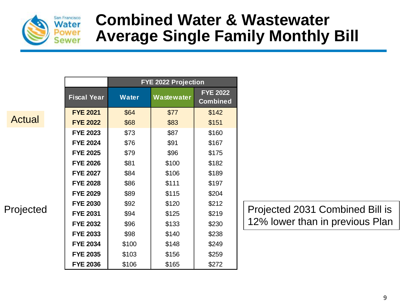

## **Combined Water & Wastewater Average Single Family Monthly Bill**

Actual

| Projected |  |
|-----------|--|
|-----------|--|

|                    | <b>FYE 2022 Projection</b> |            |                                    |  |  |  |  |  |  |  |  |  |  |  |
|--------------------|----------------------------|------------|------------------------------------|--|--|--|--|--|--|--|--|--|--|--|
| <b>Fiscal Year</b> | <b>Water</b>               | Wastewater | <b>FYE 2022</b><br><b>Combined</b> |  |  |  |  |  |  |  |  |  |  |  |
| <b>FYE 2021</b>    | \$64                       | \$77       | \$142                              |  |  |  |  |  |  |  |  |  |  |  |
| <b>FYE 2022</b>    | \$68                       | \$83       | \$151                              |  |  |  |  |  |  |  |  |  |  |  |
| <b>FYE 2023</b>    | \$73                       | \$87       | \$160                              |  |  |  |  |  |  |  |  |  |  |  |
| <b>FYE 2024</b>    | \$76                       | \$91       | \$167                              |  |  |  |  |  |  |  |  |  |  |  |
| <b>FYE 2025</b>    | \$79                       | \$96       | \$175                              |  |  |  |  |  |  |  |  |  |  |  |
| <b>FYE 2026</b>    | \$81                       | \$100      | \$182                              |  |  |  |  |  |  |  |  |  |  |  |
| <b>FYE 2027</b>    | \$84                       | \$106      | \$189                              |  |  |  |  |  |  |  |  |  |  |  |
| <b>FYE 2028</b>    | \$86                       | \$111      | \$197                              |  |  |  |  |  |  |  |  |  |  |  |
| <b>FYE 2029</b>    | \$89                       | \$115      | \$204                              |  |  |  |  |  |  |  |  |  |  |  |
| <b>FYE 2030</b>    | \$92                       | \$120      | \$212                              |  |  |  |  |  |  |  |  |  |  |  |
| <b>FYE 2031</b>    | \$94                       | \$125      | \$219                              |  |  |  |  |  |  |  |  |  |  |  |
| <b>FYE 2032</b>    | \$96                       | \$133      | \$230                              |  |  |  |  |  |  |  |  |  |  |  |
| <b>FYE 2033</b>    | \$98                       | \$140      | \$238                              |  |  |  |  |  |  |  |  |  |  |  |
| <b>FYE 2034</b>    | \$100                      | \$148      | \$249                              |  |  |  |  |  |  |  |  |  |  |  |
| <b>FYE 2035</b>    | \$103                      | \$156      | \$259                              |  |  |  |  |  |  |  |  |  |  |  |
| <b>FYE 2036</b>    | \$106                      | \$165      | \$272                              |  |  |  |  |  |  |  |  |  |  |  |

Projected 2031 Combined Bill is 12% lower than in previous Plan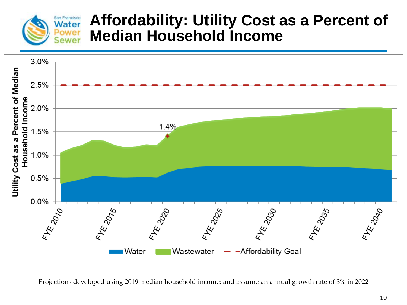

### **Affordability: Utility Cost as a Percent of Median Household Income**



Projections developed using 2019 median household income; and assume an annual growth rate of 3% in 2022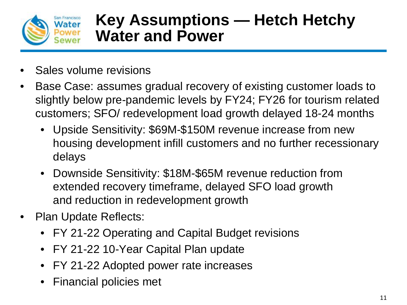

## **Key Assumptions — Hetch Hetchy Water and Power**

- Sales volume revisions
- Base Case: assumes gradual recovery of existing customer loads to slightly below pre-pandemic levels by FY24; FY26 for tourism related customers; SFO/ redevelopment load growth delayed 18-24 months
	- Upside Sensitivity: \$69M-\$150M revenue increase from new housing development infill customers and no further recessionary delays
	- Downside Sensitivity: \$18M-\$65M revenue reduction from extended recovery timeframe, delayed SFO load growth and reduction in redevelopment growth
- Plan Update Reflects:
	- FY 21-22 Operating and Capital Budget revisions
	- FY 21-22 10-Year Capital Plan update
	- FY 21-22 Adopted power rate increases
	- Financial policies met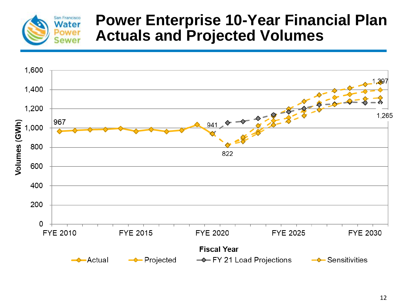

## **Power Enterprise 10-Year Financial Plan Actuals and Projected Volumes**

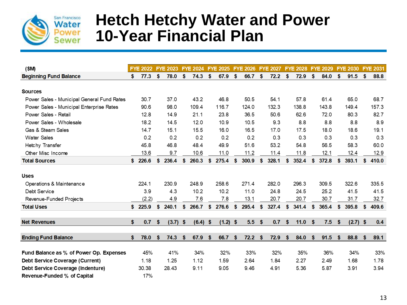

## **Hetch Hetchy Water and Power 10-Year Financial Plan**

| (SM)                                       |     | <b>FYE 2022</b> |     | <b>FYE 2023</b> |     | <b>FYE 2024</b> |          | <b>FYE 2025</b> |          | <b>FYE 2026</b> |     | <b>FYE 2027</b> |          | <b>FYE 2028</b> |     | <b>FYE 2029</b> | <b>FYE 2030</b>  |     | <b>FYE 2031</b> |
|--------------------------------------------|-----|-----------------|-----|-----------------|-----|-----------------|----------|-----------------|----------|-----------------|-----|-----------------|----------|-----------------|-----|-----------------|------------------|-----|-----------------|
| <b>Beginning Fund Balance</b>              | S.  | 77.3            | \$. | 78.0            | \$. | 74.3            | <b>S</b> | 67.9            | <b>S</b> | 66.7            | \$  | 72.2            | S.       | 72.9            | \$. | 84.0            | \$<br>91.5       | \$. | 88.8            |
|                                            |     |                 |     |                 |     |                 |          |                 |          |                 |     |                 |          |                 |     |                 |                  |     |                 |
| <b>Sources</b>                             |     |                 |     |                 |     |                 |          |                 |          |                 |     |                 |          |                 |     |                 |                  |     |                 |
| Power Sales - Municipal General Fund Rates |     | 30.7            |     | 37.0            |     | 43.2            |          | 46.8            |          | 50.5            |     | 54.1            |          | 57.8            |     | 61.4            | 65.0             |     | 68.7            |
| Power Sales - Municipal Enterprise Rates   |     | 90.6            |     | 98.0            |     | 109.4           |          | 116.7           |          | 124.0           |     | 132.3           |          | 138.8           |     | 143.8           | 149.4            |     | 157.3           |
| Power Sales - Retail                       |     | 12.8            |     | 14.9            |     | 21.1            |          | 23.8            |          | 36.5            |     | 50.6            |          | 62.6            |     | 72.0            | 80.3             |     | 82.7            |
| Power Sales - Wholesale                    |     | 18.2            |     | 14.5            |     | 12.0            |          | 10.9            |          | 10.5            |     | 9.3             |          | 8.8             |     | 8.8             | 8.8              |     | 8.9             |
| Gas & Steam Sales                          |     | 14.7            |     | 15.1            |     | 15.5            |          | 16.0            |          | 16.5            |     | 17.0            |          | 17.5            |     | 18.0            | 18.6             |     | 19.1            |
| <b>Water Sales</b>                         |     | 0.2             |     | 0.2             |     | 0.2             |          | 0.2             |          | 0.2             |     | 0.3             |          | 0.3             |     | 0.3             | 0.3              |     | 0.3             |
| Hetchy Transfer                            |     | 45.8            |     | 46.8            |     | 48.4            |          | 49.9            |          | 51.6            |     | 53.2            |          | 54.8            |     | 56.5            | 58.3             |     | 60.0            |
| Other Misc Income                          |     | 13.6            |     | 9.7             |     | 10.6            |          | 11.0            |          | 11.2            |     | 11.4            |          | 11.8            |     | 12.1            | 12.4             |     | 12.9            |
| <b>Total Sources</b>                       | \$  | 226.6           | \$  | 236.4           | \$  | 260.3           | S        | 275.4           | S.       | 300.9           | \$  | 328.1           | \$       | 352.4           | \$  | 372.8           | \$<br>393.1      | \$  | 410.0           |
|                                            |     |                 |     |                 |     |                 |          |                 |          |                 |     |                 |          |                 |     |                 |                  |     |                 |
| <b>Uses</b>                                |     |                 |     |                 |     |                 |          |                 |          |                 |     |                 |          |                 |     |                 |                  |     |                 |
| Operations & Maintenance                   |     | 224.1           |     | 230.9           |     | 248.9           |          | 258.6           |          | 271.4           |     | 282.0           |          | 296.3           |     | 309.5           | 322.6            |     | 335.5           |
| Debt Service                               |     | 3.9             |     | 4.3             |     | 10.2            |          | 10.2            |          | 11.0            |     | 24.8            |          | 24.5            |     | 25.2            | 41.5             |     | 41.5            |
| Revenue-Funded Projects                    |     | (2.2)           |     | 4.9             |     | 7.6             |          | 7.8             |          | 13.1            |     | 20.7            |          | 20.7            |     | 30.7            | 31.7             |     | 32.7            |
| <b>Total Uses</b>                          |     | \$225.9         | \$  | 240.1           | \$  | 266.7           | \$       | 276.6           | \$       | 295.4           | \$  | 327.4           | \$       | 341.4           | \$  | 365.4           | \$<br>395.8      | \$  | 409.6           |
|                                            |     |                 |     |                 |     |                 |          |                 |          |                 |     |                 |          |                 |     |                 |                  |     |                 |
| <b>Net Revenues</b>                        | \$  | 0.7             | \$  | (3.7)           | -\$ | $(6.4)$ \$      |          | $(1.2)$ \$      |          | 5.5             | -\$ | 0.7             | \$       | 11.0            | \$  | 7.5             | \$<br>$(2.7)$ \$ |     | 0.4             |
|                                            |     |                 |     |                 |     |                 |          |                 |          |                 |     |                 |          |                 |     |                 |                  |     |                 |
| <b>Ending Fund Balance</b>                 | \$. | 78.0            | \$. | 74.3            | \$  | 67.9            | -\$      | 66.7            | <b>S</b> | 72.2            | -\$ | 72.9            | <b>S</b> | 84.0            | \$. | 91.5            | \$<br>88.8       | \$  | 89.1            |
|                                            |     |                 |     |                 |     |                 |          |                 |          |                 |     |                 |          | 35%             |     |                 |                  |     |                 |
| Fund Balance as % of Power Op. Expenses    |     | 45%             |     | 41%             |     | 34%             |          | 32%             |          | 33%             |     | 32%             |          |                 |     | 36%             | 34%              |     | 33%             |
| Debt Service Coverage (Current)            |     | 1.18            |     | 1.25            |     | 1.12            |          | 1.59            |          | 2.64            |     | 1.84            |          | 2.27            |     | 2.49            | 1.68             |     | 1.78            |
| Debt Service Coverage (Indenture)          |     | 30.38           |     | 28.43           |     | 9.11            |          | 9.05            |          | 9.46            |     | 4.91            |          | 5.36            |     | 5.87            | 3.91             |     | 3.94            |
| Revenue-Funded % of Capital                |     | 17%             |     |                 |     |                 |          |                 |          |                 |     |                 |          |                 |     |                 |                  |     |                 |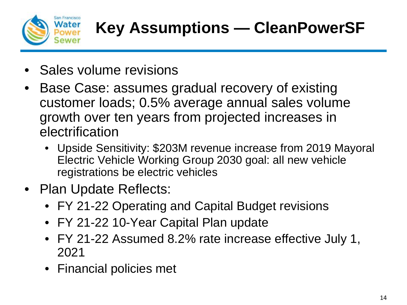

- Sales volume revisions
- Base Case: assumes gradual recovery of existing customer loads; 0.5% average annual sales volume growth over ten years from projected increases in electrification
	- Upside Sensitivity: \$203M revenue increase from 2019 Mayoral Electric Vehicle Working Group 2030 goal: all new vehicle registrations be electric vehicles
- Plan Update Reflects:
	- FY 21-22 Operating and Capital Budget revisions
	- FY 21-22 10-Year Capital Plan update
	- FY 21-22 Assumed 8.2% rate increase effective July 1, 2021
	- Financial policies met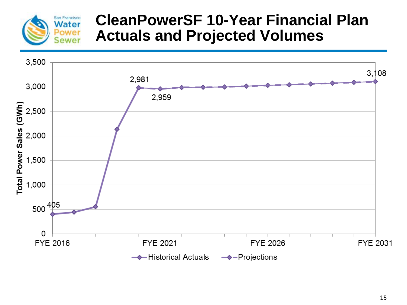

## **CleanPowerSF 10-Year Financial Plan Actuals and Projected Volumes**

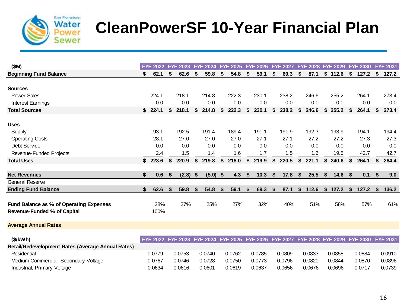

# **CleanPowerSF 10-Year Financial Plan**

| (SM)                                              |    | <b>FYE 2022</b> | <b>FYE 2023</b> |     | <b>FYE 2024</b> | <b>FYE 2025</b> |    | <b>FYE 2026</b> | <b>FYE 2027</b> |    | <b>FYE 2028</b> | <b>FYE 2029</b> | <b>FYE 2030</b> |    | <b>FYE 2031</b> |
|---------------------------------------------------|----|-----------------|-----------------|-----|-----------------|-----------------|----|-----------------|-----------------|----|-----------------|-----------------|-----------------|----|-----------------|
| <b>Beginning Fund Balance</b>                     | \$ | 62.1            | \$<br>62.6      | \$  | 59.8            | \$<br>54.8      | S  | 59.1            | \$<br>69.3      | S. | 87.1            | \$112.6         | \$<br>127.2     | \$ | 127.2           |
|                                                   |    |                 |                 |     |                 |                 |    |                 |                 |    |                 |                 |                 |    |                 |
| <b>Sources</b>                                    |    |                 |                 |     |                 |                 |    |                 |                 |    |                 |                 |                 |    |                 |
| <b>Power Sales</b>                                |    | 224.1           | 218.1           |     | 214.8           | 222.3           |    | 230.1           | 238.2           |    | 246.6           | 255.2           | 264.1           |    | 273.4           |
| <b>Interest Earnings</b>                          |    | 0.0             | 0.0             |     | 0.0             | 0.0             |    | 0.0             | 0.0             |    | 0.0             | 0.0             | 0.0             |    | 0.0             |
| <b>Total Sources</b>                              | \$ | 224.1           | \$<br>218.1     | \$  | 214.8           | \$<br>222.3     | \$ | 230.1           | \$<br>238.2     | \$ | 246.6           | \$<br>255.2     | \$<br>264.1     | S  | 273.4           |
| <b>Uses</b>                                       |    |                 |                 |     |                 |                 |    |                 |                 |    |                 |                 |                 |    |                 |
| Supply                                            |    | 193.1           | 192.5           |     | 191.4           | 189.4           |    | 191.1           | 191.9           |    | 192.3           | 193.9           | 194.1           |    | 194.4           |
| <b>Operating Costs</b>                            |    | 28.1            | 27.0            |     | 27.0            | 27.0            |    | 27.1            | 27.1            |    | 27.2            | 27.2            | 27.3            |    | 27.3            |
| Debt Service                                      |    | 0.0             | 0.0             |     | 0.0             | 0.0             |    | 0.0             | 0.0             |    | 0.0             | 0.0             | 0.0             |    | 0.0             |
| Revenue-Funded Projects                           |    | 2.4             | 1.5             |     | 1.4             | 1.6             |    | 1.7             | 1.5             |    | 1.6             | 19.5            | 42.7            |    | 42.7            |
| <b>Total Uses</b>                                 | S. | 223.6           | \$<br>220.9     | \$  | 219.8           | \$<br>218.0     | \$ | 219.9           | \$<br>220.5     | \$ | 221.1           | \$<br>240.6     | \$<br>264.1     | \$ | 264.4           |
|                                                   |    |                 |                 |     |                 |                 |    |                 |                 |    |                 |                 |                 |    |                 |
| <b>Net Revenues</b>                               | \$ | 0.6             | \$<br>(2.8)     | -\$ | $(5.0)$ \$      | 4.3             | \$ | 10.3            | \$<br>17.8      | \$ | 25.5            | \$<br>14.6      | \$<br>0.1       | \$ | 9.0             |
| General Reserve                                   |    |                 |                 |     |                 |                 |    |                 |                 |    |                 |                 |                 |    |                 |
| <b>Ending Fund Balance</b>                        | \$ | 62.6            | \$<br>59.8      | S   | 54.8            | \$<br>59.1      | \$ | 69.3            | \$<br>87.1      | \$ | 112.6           | \$<br>127.2     | \$<br>127.2     | \$ | 136.2           |
|                                                   |    |                 |                 |     |                 |                 |    |                 |                 |    |                 |                 |                 |    |                 |
| Fund Balance as % of Operating Expenses           |    | 28%             | 27%             |     | 25%             | 27%             |    | 32%             | 40%             |    | 51%             | 58%             | 57%             |    | 61%             |
| <b>Revenue-Funded % of Capital</b>                |    | 100%            |                 |     |                 |                 |    |                 |                 |    |                 |                 |                 |    |                 |
| <b>Average Annual Rates</b>                       |    |                 |                 |     |                 |                 |    |                 |                 |    |                 |                 |                 |    |                 |
|                                                   |    |                 |                 |     |                 |                 |    |                 |                 |    |                 |                 |                 |    |                 |
| (\$/kWh)                                          |    | <b>FYE 2022</b> | <b>FYE 2023</b> |     | <b>FYE 2024</b> | <b>FYE 2025</b> |    | <b>FYE 2026</b> | <b>FYE 2027</b> |    | <b>FYE 2028</b> | <b>FYE 2029</b> | <b>FYE 2030</b> |    | <b>FYE 2031</b> |
| Retail/Redevelopment Rates (Average Annual Rates) |    |                 |                 |     |                 |                 |    |                 |                 |    |                 |                 |                 |    |                 |
| Residential                                       |    | 0.0779          | 0.0753          |     | 0.0740          | 0.0762          |    | 0.0785          | 0.0809          |    | 0.0833          | 0.0858          | 0.0884          |    | 0.0910          |
| Medium Commercial, Secondary Voltage              |    | 0.0767          | 0.0746          |     | 0.0728          | 0.0750          |    | 0.0773          | 0.0796          |    | 0.0820          | 0.0844          | 0.0870          |    | 0.0896          |
| Industrial, Primary Voltage                       |    | 0.0634          | 0.0616          |     | 0.0601          | 0.0619          |    | 0.0637          | 0.0656          |    | 0.0676          | 0.0696          | 0.0717          |    | 0.0739          |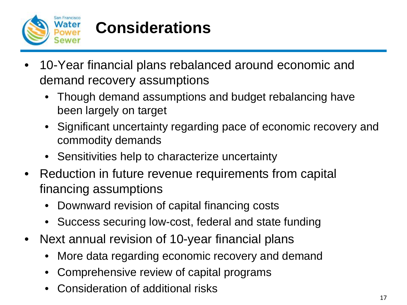

# **Considerations**

- 10-Year financial plans rebalanced around economic and demand recovery assumptions
	- Though demand assumptions and budget rebalancing have been largely on target
	- Significant uncertainty regarding pace of economic recovery and commodity demands
	- Sensitivities help to characterize uncertainty
- Reduction in future revenue requirements from capital financing assumptions
	- Downward revision of capital financing costs
	- Success securing low-cost, federal and state funding
- Next annual revision of 10-year financial plans
	- More data regarding economic recovery and demand
	- Comprehensive review of capital programs
	- Consideration of additional risks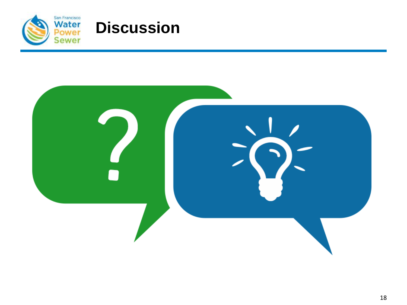

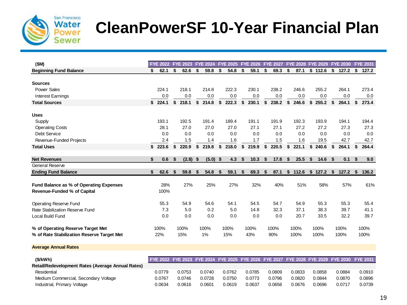

# **CleanPowerSF 10-Year Financial Plan**

| (SM)                                       | <b>FYE 2022</b> |    | <b>FYE 2023</b> |     | <b>FYE 2024</b> |    | <b>FYE 2025</b> |    | <b>FYE 2026</b> | <b>FYE 2027</b> |      | <b>FYE 2028</b> | <b>FYE 2029</b> |    | <b>FYE 2030</b> |    | <b>FYE 2031</b> |
|--------------------------------------------|-----------------|----|-----------------|-----|-----------------|----|-----------------|----|-----------------|-----------------|------|-----------------|-----------------|----|-----------------|----|-----------------|
| <b>Beginning Fund Balance</b>              | \$<br>62.1      | \$ | 62.6            | \$  | 59.8            | \$ | 54.8            | \$ | 59.1            | \$<br>69.3      | S    | 87.1            | \$112.6         | \$ | 127.2           | \$ | 127.2           |
|                                            |                 |    |                 |     |                 |    |                 |    |                 |                 |      |                 |                 |    |                 |    |                 |
| <b>Sources</b>                             |                 |    |                 |     |                 |    |                 |    |                 |                 |      |                 |                 |    |                 |    |                 |
| <b>Power Sales</b>                         | 224.1           |    | 218.1           |     | 214.8           |    | 222.3           |    | 230.1           | 238.2           |      | 246.6           | 255.2           |    | 264.1           |    | 273.4           |
| <b>Interest Earnings</b>                   | 0.0             |    | 0.0             |     | 0.0             |    | 0.0             |    | 0.0             | 0.0             |      | 0.0             | 0.0             |    | 0.0             |    | 0.0             |
| <b>Total Sources</b>                       | \$224.1         | \$ | 218.1           | \$  | 214.8           | \$ | 222.3           | \$ | 230.1           | \$<br>238.2     | \$   | 246.6           | \$255.2         | \$ | 264.1           | S  | 273.4           |
| <b>Uses</b>                                |                 |    |                 |     |                 |    |                 |    |                 |                 |      |                 |                 |    |                 |    |                 |
| Supply                                     | 193.1           |    | 192.5           |     | 191.4           |    | 189.4           |    | 191.1           | 191.9           |      | 192.3           | 193.9           |    | 194.1           |    | 194.4           |
| <b>Operating Costs</b>                     | 28.1            |    | 27.0            |     | 27.0            |    | 27.0            |    | 27.1            | 27.1            |      | 27.2            | 27.2            |    | 27.3            |    | 27.3            |
| <b>Debt Service</b>                        | 0.0             |    | 0.0             |     | 0.0             |    | 0.0             |    | 0.0             | 0.0             |      | 0.0             | 0.0             |    | 0.0             |    | 0.0             |
| Revenue-Funded Projects                    | 2.4             |    | 1.5             |     | 1.4             |    | 1.6             |    | 1.7             | 1.5             |      | 1.6             | 19.5            |    | 42.7            |    | 42.7            |
| <b>Total Uses</b>                          | \$<br>223.6     | \$ | 220.9           | \$  | 219.8           | \$ | 218.0           | \$ | 219.9           | \$<br>220.5     | \$   | 221.1           | \$<br>240.6     | \$ | 264.1           | \$ | 264.4           |
|                                            |                 |    |                 |     |                 |    |                 |    |                 |                 |      |                 |                 |    |                 |    |                 |
| <b>Net Revenues</b>                        | \$<br>0.6       | \$ | (2.8)           | -\$ | (5.0)           | \$ | 4.3             | \$ | 10.3            | \$<br>17.8      | - \$ | 25.5            | \$<br>14.6      | \$ | 0.1             | \$ | 9.0             |
| General Reserve                            |                 |    |                 |     |                 |    |                 |    |                 |                 |      |                 |                 |    |                 |    |                 |
| <b>Ending Fund Balance</b>                 | \$<br>62.6      | S  | 59.8            | S.  | 54.8            | -S | 59.1            | S  | 69.3            | \$<br>87.1      | S.   | 112.6           | \$127.2         | S  | 127.2           | -S | 136.2           |
| Fund Balance as % of Operating Expenses    | 28%             |    | 27%             |     | 25%             |    | 27%             |    | 32%             | 40%             |      | 51%             | 58%             |    | 57%             |    | 61%             |
| Revenue-Funded % of Capital                | 100%            |    |                 |     |                 |    |                 |    |                 |                 |      |                 |                 |    |                 |    |                 |
|                                            |                 |    |                 |     |                 |    |                 |    |                 |                 |      |                 |                 |    |                 |    |                 |
| Operating Reserve Fund                     | 55.3            |    | 54.9            |     | 54.6            |    | 54.1            |    | 54.5            | 54.7            |      | 54.9            | 55.3            |    | 55.3            |    | 55.4            |
| Rate Stabilization Reserve Fund            | 7.3             |    | 5.0             |     | 0.2             |    | 5.0             |    | 14.8            | 32.3            |      | 37.1            | 38.3            |    | 39.7            |    | 41.1            |
| Local Build Fund                           | 0.0             |    | 0.0             |     | 0.0             |    | 0.0             |    | 0.0             | 0.0             |      | 20.7            | 33.5            |    | 32.2            |    | 39.7            |
| % of Operating Reserve Target Met          | 100%            |    | 100%            |     | 100%            |    | 100%            |    | 100%            | 100%            |      | 100%            | 100%            |    | 100%            |    | 100%            |
| % of Rate Stabilization Reserve Target Met | 22%             |    | 15%             |     | 1%              |    | 15%             |    | 43%             | 90%             |      | 100%            | 100%            |    | 100%            |    | 100%            |

**Average Annual Rates**

| (S/KWh)                                           | FYE 2022 FYE 2023 FYE 2024 FYE 2025 FYE 2026 FYE 2027 FYE 2028 FYE 2029 FYE 2030 FYE 2031 |        |        |        |        |        |        |        |        |        |
|---------------------------------------------------|-------------------------------------------------------------------------------------------|--------|--------|--------|--------|--------|--------|--------|--------|--------|
| Retail/Redevelopment Rates (Average Annual Rates) |                                                                                           |        |        |        |        |        |        |        |        |        |
| Residential                                       | 0.0779                                                                                    | 0.0753 | 0.0740 | 0.0762 | 0.0785 | 0.0809 | 0.0833 | 0.0858 | 0.0884 | 0.0910 |
| Medium Commercial, Secondary Voltage              | 0.0767                                                                                    | 0.0746 | 0.0728 | 0.0750 | 0.0773 | 0.0796 | 0.0820 | 0.0844 | 0.0870 | 0.0896 |
| Industrial, Primary Voltage                       | 0.0634                                                                                    | 0.0616 | 0.0601 | 0.0619 | 0.0637 | 0.0656 | 0.0676 | 0.0696 | 0.0717 | 0.0739 |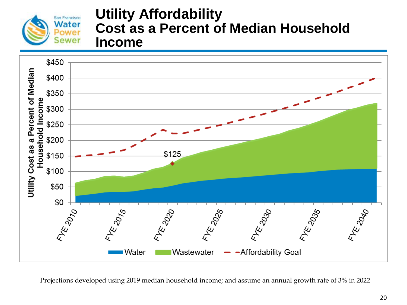

#### **Utility Affordability Cost as a Percent of Median Household Income**



Projections developed using 2019 median household income; and assume an annual growth rate of 3% in 2022